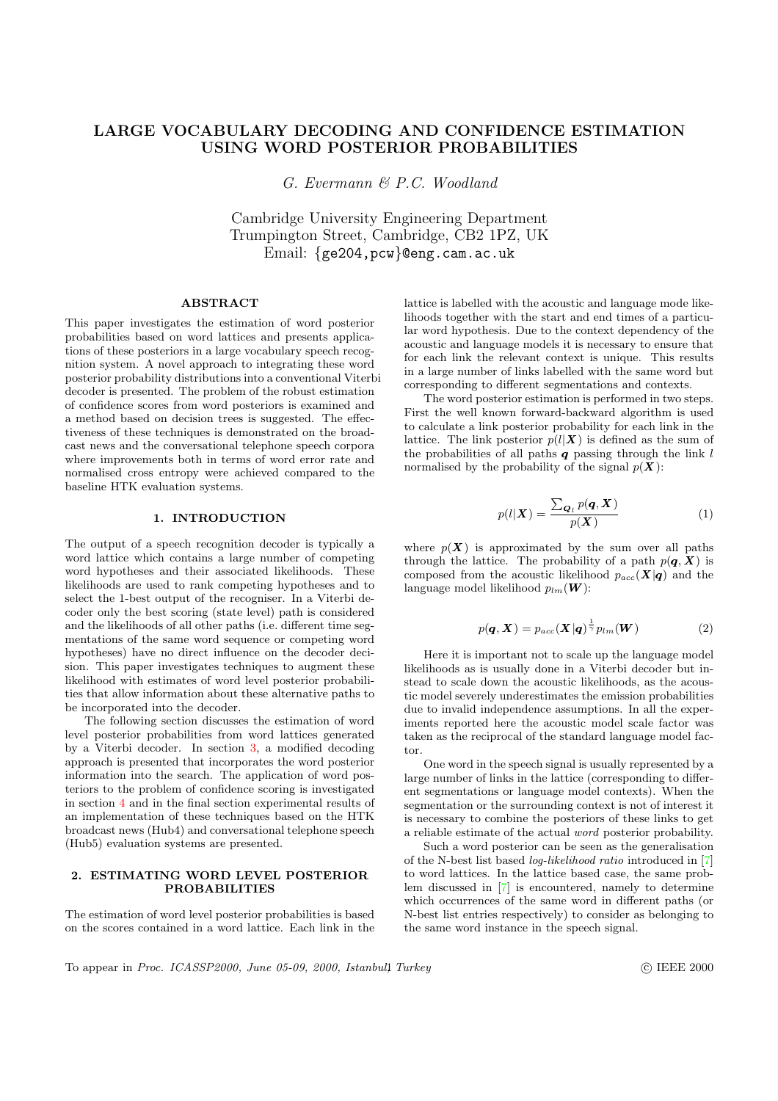# <span id="page-0-0"></span>LARGE VOCABULARY DECODING AND CONFIDENCE ESTIMATION USING WORD POSTERIOR PROBABILITIES

G. Evermann & P.C. Woodland

Cambridge University Engineering Department Trumpington Street, Cambridge, CB2 1PZ, UK Email: {ge204,pcw}@eng.cam.ac.uk

# ABSTRACT

This paper investigates the estimation of word posterior probabilities based on word lattices and presents applications of these posteriors in a large vocabulary speech recognition system. A novel approach to integrating these word posterior probability distributions into a conventional Viterbi decoder is presented. The problem of the robust estimation of confidence scores from word posteriors is examined and a method based on decision trees is suggested. The effectiveness of these techniques is demonstrated on the broadcast news and the conversational telephone speech corpora where improvements both in terms of word error rate and normalised cross entropy were achieved compared to the baseline HTK evaluation systems.

## 1. INTRODUCTION

The output of a speech recognition decoder is typically a word lattice which contains a large number of competing word hypotheses and their associated likelihoods. These likelihoods are used to rank competing hypotheses and to select the 1-best output of the recogniser. In a Viterbi decoder only the best scoring (state level) path is considered and the likelihoods of all other paths (i.e. different time segmentations of the same word sequence or competing word hypotheses) have no direct influence on the decoder decision. This paper investigates techniques to augment these likelihood with estimates of word level posterior probabilities that allow information about these alternative paths to be incorporated into the decoder.

The following section discusses the estimation of word level posterior probabilities from word lattices generated by a Viterbi decoder. In section 3, a modified decoding approach is presented that incorporates the word posterior information into the search. The application of word posteriors to the problem of confidence scoring is investigated in section 4 and in the final section experimental results of an implementation of these techni[qu](#page-1-0)es based on the HTK broadcast news (Hub4) and conversational telephone speech (Hub5) evaluation systems are presented.

## 2. EST[IM](#page-2-0)ATING WORD LEVEL POSTERIOR PROBABILITIES

The estimation of word level posterior probabilities is based on the scores contained in a word lattice. Each link in the lattice is labelled with the acoustic and language mode likelihoods together with the start and end times of a particular word hypothesis. Due to the context dependency of the acoustic and language models it is necessary to ensure that for each link the relevant context is unique. This results in a large number of links labelled with the same word but corresponding to different segmentations and contexts.

The word posterior estimation is performed in two steps. First the well known forward-backward algorithm is used to calculate a link posterior probability for each link in the lattice. The link posterior  $p(l|\boldsymbol{X})$  is defined as the sum of the probabilities of all paths  $q$  passing through the link  $l$ normalised by the probability of the signal  $p(X)$ :

$$
p(l|\boldsymbol{X}) = \frac{\sum_{\boldsymbol{Q}_l} p(\boldsymbol{q}, \boldsymbol{X})}{p(\boldsymbol{X})}
$$
(1)

where  $p(X)$  is approximated by the sum over all paths through the lattice. The probability of a path  $p(\boldsymbol{q}, \boldsymbol{X})$  is composed from the acoustic likelihood  $p_{acc}(\boldsymbol{X}|\boldsymbol{q})$  and the language model likelihood  $p_{lm}(\boldsymbol{W})$ :

$$
p(\boldsymbol{q}, \boldsymbol{X}) = p_{acc}(\boldsymbol{X}|\boldsymbol{q})^{\frac{1}{\gamma}} p_{lm}(\boldsymbol{W})
$$
 (2)

Here it is important not to scale up the language model likelihoods as is usually done in a Viterbi decoder but instead to scale down the acoustic likelihoods, as the acoustic model severely underestimates the emission probabilities due to invalid independence assumptions. In all the experiments reported here the acoustic model scale factor was taken as the reciprocal of the standard language model factor.

One word in the speech signal is usually represented by a large number of links in the lattice (corresponding to different segmentations or language model contexts). When the segmentation or the surrounding context is not of interest it is necessary to combine the posteriors of these links to get a reliable estimate of the actual word posterior probability.

Such a word posterior can be seen as the generalisation of the N-best list based log-likelihood ratio introduced in [7] to word lattices. In the lattice based case, the same problem discussed in [7] is encountered, namely to determine which occurrences of the same word in different paths (or N-best list entries respectively) to consider as belonging [to](#page-3-0) the same word instance in the speech signal.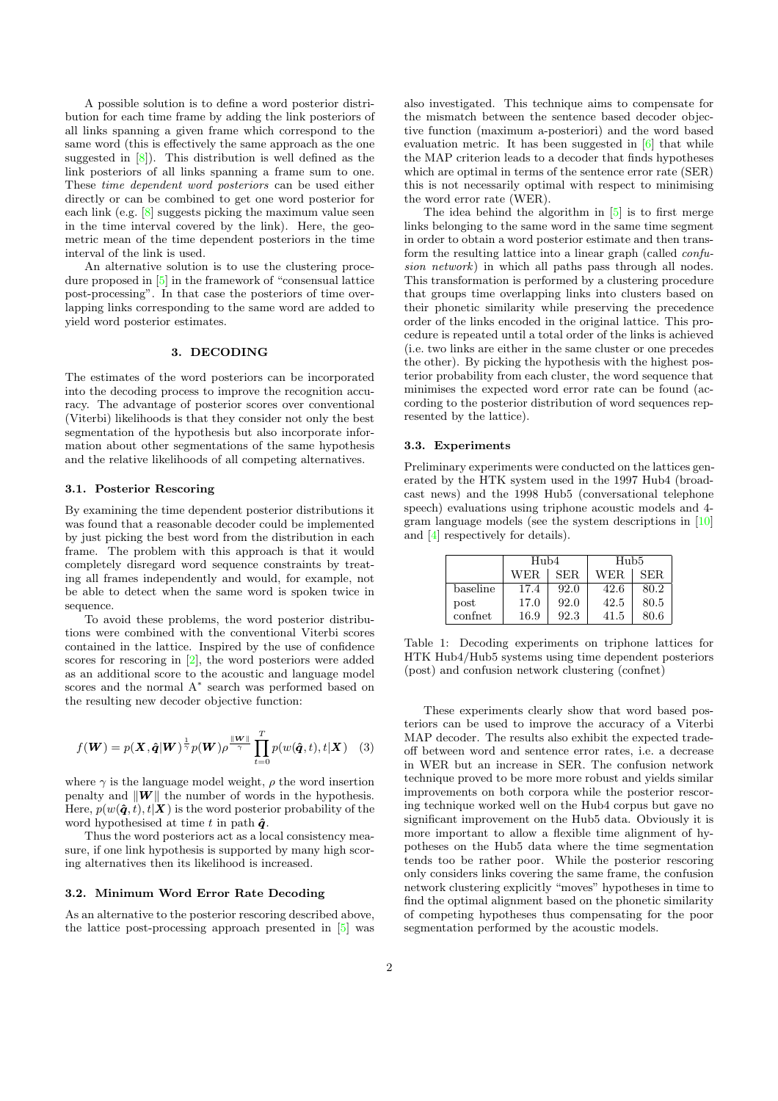<span id="page-1-0"></span>A possible solution is to define a word posterior distribution for each time frame by adding the link posteriors of all links spanning a given frame which correspond to the same word (this is effectively the same approach as the one suggested in [8]). This distribution is well defined as the link posteriors of all links spanning a frame sum to one. These time dependent word posteriors can be used either directly or can be combined to get one word posterior for each link (e.g.  $\boxed{8}$  suggests picking the maximum value seen in the time i[nte](#page-3-0)rval covered by the link). Here, the geometric mean of the time dependent posteriors in the time interval of the link is used.

An alternative solution is to use the clustering procedure proposed [in](#page-3-0) [5] in the framework of "consensual lattice post-processing". In that case the posteriors of time overlapping links corresponding to the same word are added to yield word posterior estimates.

## 3. DECODING

The estimates of the word posteriors can be incorporated into the decoding process to improve the recognition accuracy. The advantage of posterior scores over conventional (Viterbi) likelihoods is that they consider not only the best segmentation of the hypothesis but also incorporate information about other segmentations of the same hypothesis and the relative likelihoods of all competing alternatives.

#### 3.1. Posterior Rescoring

By examining the time dependent posterior distributions it was found that a reasonable decoder could be implemented by just picking the best word from the distribution in each frame. The problem with this approach is that it would completely disregard word sequence constraints by treating all frames independently and would, for example, not be able to detect when the same word is spoken twice in sequence.

To avoid these problems, the word posterior distributions were combined with the conventional Viterbi scores contained in the lattice. Inspired by the use of confidence scores for rescoring in [2], the word posteriors were added as an additional score to the acoustic and language model scores and the normal A<sup>∗</sup> search was performed based on the resulting new decoder objective function:

$$
f(\boldsymbol{W}) = p(\boldsymbol{X}, \hat{\boldsymbol{q}} | \boldsymbol{W})^{\frac{1}{\gamma}} p(\boldsymbol{W}) \rho^{\frac{\|\boldsymbol{W}\|}{\gamma}} \prod_{t=0}^{T} p(w(\hat{\boldsymbol{q}}, t), t | \boldsymbol{X}) \quad (3)
$$

where  $\gamma$  is the language model weight,  $\rho$  the word insertion penalty and  $\|\boldsymbol{W}\|$  the number of words in the hypothesis. Here,  $p(w(\hat{\boldsymbol{q}}, t), t|\boldsymbol{X})$  is the word posterior probability of the word hypothesised at time t in path  $\hat{q}$ .

Thus the word posteriors act as a local consistency measure, if one link hypothesis is supported by many high scoring alternatives then its likelihood is increased.

#### 3.2. Minimum Word Error Rate Decoding

As an alternative to the posterior rescoring described above, the lattice post-processing approach presented in [5] was also investigated. This technique aims to compensate for the mismatch between the sentence based decoder objective function (maximum a-posteriori) and the word based evaluation metric. It has been suggested in [6] that while the MAP criterion leads to a decoder that finds hypotheses which are optimal in terms of the sentence error rate (SER) this is not necessarily optimal with respect to minimising the word error rate (WER).

The idea behind the algorithm in [5] is [to](#page-3-0) first merge links belonging to the same word in the same time segment in order to obtain a word posterior estimate and then transform the resulting lattice into a linear graph (called confusion network) in which all paths pass through all nodes. This transformation is performed by a [clu](#page-3-0)stering procedure that groups time overlapping links into clusters based on their phonetic similarity while preserving the precedence order of the links encoded in the original lattice. This procedure is repeated until a total order of the links is achieved (i.e. two links are either in the same cluster or one precedes the other). By picking the hypothesis with the highest posterior probability from each cluster, the word sequence that minimises the expected word error rate can be found (according to the posterior distribution of word sequences represented by the lattice).

## 3.3. Experiments

Preliminary experiments were conducted on the lattices generated by the HTK system used in the 1997 Hub4 (broadcast news) and the 1998 Hub5 (conversational telephone speech) evaluations using triphone acoustic models and 4 gram language models (see the system descriptions in [10] and [4] respectively for details).

|          | H <sub>u</sub> b4 |      | Hub <sub>5</sub> |      |
|----------|-------------------|------|------------------|------|
|          | WER.              | SER. | WER.             | SER. |
| baseline | 17.4              | 92.0 | 42.6             | 80.2 |
| post     | 17.0              | 92.0 | 42.5             | 80.5 |
| confret  | 16.9              | 92.3 | 41.5             | 80.6 |

Table 1: Decoding experiments on triphone lattices for HTK Hub4/Hub5 systems using time dependent posteriors (post) and confusion network clustering (confnet)

These experiments clearly show that word based posteriors can be used to improve the accuracy of a Viterbi MAP decoder. The results also exhibit the expected tradeoff between word and sentence error rates, i.e. a decrease in WER but an increase in SER. The confusion network technique proved to be more more robust and yields similar improvements on both corpora while the posterior rescoring technique worked well on the Hub4 corpus but gave no significant improvement on the Hub5 data. Obviously it is more important to allow a flexible time alignment of hypotheses on the Hub5 data where the time segmentation tends too be rather poor. While the posterior rescoring only considers links covering the same frame, the confusion network clustering explicitly "moves" hypotheses in time to find the optimal alignment based on the phonetic similarity of competing hypotheses thus compensating for the poor segmentation performed by the acoustic models.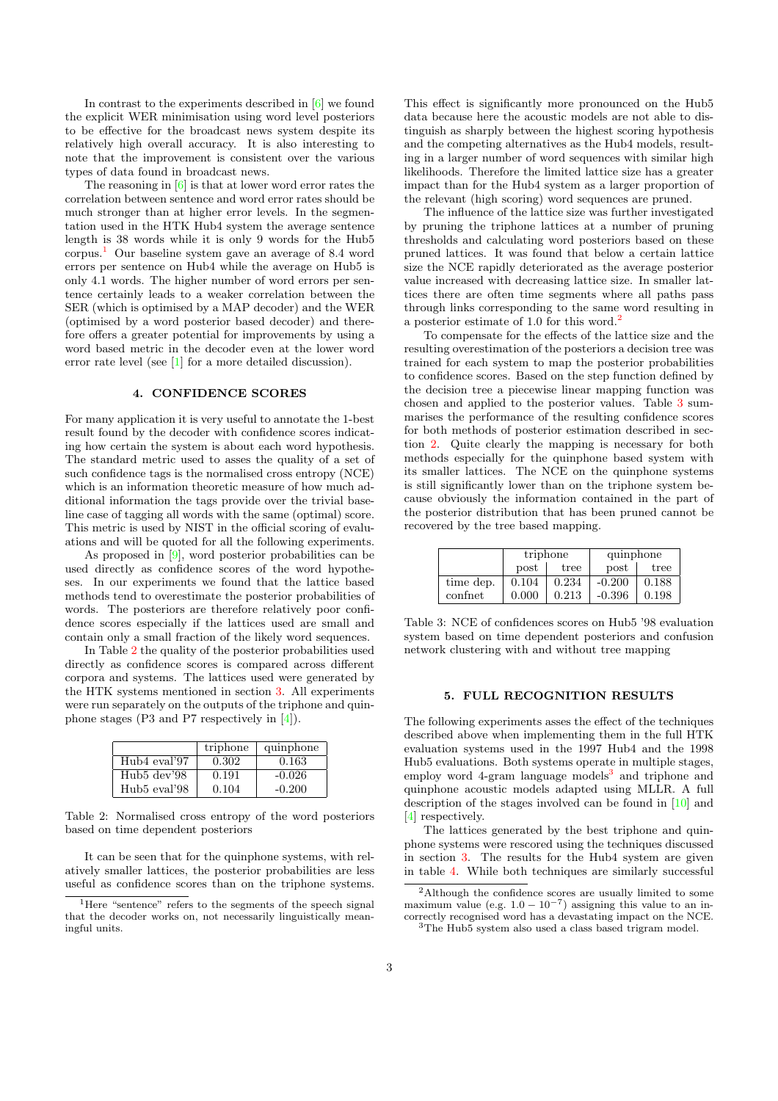<span id="page-2-0"></span>In contrast to the experiments described in [6] we found the explicit WER minimisation using word level posteriors to be effective for the broadcast news system despite its relatively high overall accuracy. It is also interesting to note that the improvement is consistent over [th](#page-3-0)e various types of data found in broadcast news.

The reasoning in  $[6]$  is that at lower word error rates the correlation between sentence and word error rates should be much stronger than at higher error levels. In the segmentation used in the HTK Hub4 system the average sentence length is 38 words while it is only 9 words for the Hub5 corpus.<sup>1</sup> Our baselin[e](#page-3-0) system gave an average of 8.4 word errors per sentence on Hub4 while the average on Hub5 is only 4.1 words. The higher number of word errors per sentence certainly leads to a weaker correlation between the SER (which is optimised by a MAP decoder) and the WER (optimised by a word posterior based decoder) and therefore offers a greater potential for improvements by using a word based metric in the decoder even at the lower word error rate level (see [1] for a more detailed discussion).

## 4. CONFIDENCE SCORES

For many application it is very useful to annotate the 1-best result found by the [dec](#page-3-0)oder with confidence scores indicating how certain the system is about each word hypothesis. The standard metric used to asses the quality of a set of such confidence tags is the normalised cross entropy (NCE) which is an information theoretic measure of how much additional information the tags provide over the trivial baseline case of tagging all words with the same (optimal) score. This metric is used by NIST in the official scoring of evaluations and will be quoted for all the following experiments.

As proposed in  $[9]$ , word posterior probabilities can be used directly as confidence scores of the word hypotheses. In our experiments we found that the lattice based methods tend to overestimate the posterior probabilities of words. The posteriors are therefore relatively poor confidence scores especi[all](#page-3-0)y if the lattices used are small and contain only a small fraction of the likely word sequences.

In Table 2 the quality of the posterior probabilities used directly as confidence scores is compared across different corpora and systems. The lattices used were generated by the HTK systems mentioned in section 3. All experiments were run separately on the outputs of the triphone and quinphone stages (P3 and P7 respectively in [4]).

|              | triphone | quinphone |
|--------------|----------|-----------|
| Hub4 eval'97 | 0.302    | 0.163     |
| Hub5 dev'98  | 0.191    | $-0.026$  |
| Hub5 eval'98 | 0.104    | $-0.200$  |

Table 2: Normalised cross entropy of the word posteriors based on time dependent posteriors

It can be seen that for the quinphone systems, with relatively smaller lattices, the posterior probabilities are less useful as confidence scores than on the triphone systems. This effect is significantly more pronounced on the Hub5 data because here the acoustic models are not able to distinguish as sharply between the highest scoring hypothesis and the competing alternatives as the Hub4 models, resulting in a larger number of word sequences with similar high likelihoods. Therefore the limited lattice size has a greater impact than for the Hub4 system as a larger proportion of the relevant (high scoring) word sequences are pruned.

The influence of the lattice size was further investigated by pruning the triphone lattices at a number of pruning thresholds and calculating word posteriors based on these pruned lattices. It was found that below a certain lattice size the NCE rapidly deteriorated as the average posterior value increased with decreasing lattice size. In smaller lattices there are often time segments where all paths pass through links corresponding to the same word resulting in a posterior estimate of 1.0 for this word.<sup>2</sup>

To compensate for the effects of the lattice size and the resulting overestimation of the posteriors a decision tree was trained for each system to map the posterior probabilities to confidence scores. Based on the step function defined by the decision tree a piecewise linear mapping function was chosen and applied to the posterior values. Table 3 summarises the performance of the resulting confidence scores for both methods of posterior estimation described in section 2. Quite clearly the mapping is necessary for both methods especially for the quinphone based system with its smaller lattices. The NCE on the quinphone systems is still significantly lower than on the triphone system because obviously the information contained in the part of the [po](#page-0-0)sterior distribution that has been pruned cannot be recovered by the tree based mapping.

|           | triphone |       | quinphone |       |
|-----------|----------|-------|-----------|-------|
|           | post     | tree  | post      | tree  |
| time dep. | 0.104    | 0.234 | $-0.200$  | 0.188 |
| confnet   | 0.000    | 0.213 | $-0.396$  | 0.198 |

Table 3: NCE of confidences scores on Hub5 '98 evaluation system based on time dependent posteriors and confusion network clustering with and without tree mapping

## 5. FULL RECOGNITION RESULTS

The following experiments asses the effect of the techniques described above when implementing them in the full HTK evaluation systems used in the 1997 Hub4 and the 1998 Hub5 evaluations. Both systems operate in multiple stages, employ word 4-gram language models<sup>3</sup> and triphone and quinphone acoustic models adapted using MLLR. A full description of the stages involved can be found in [10] and [4] respectively.

The lattices generated by the best triphone and quinphone systems were rescored using the techniques discussed in section 3. The results for the Hub4 system are given [in](#page-3-0) table 4. While both techniques are similarly s[ucce](#page-3-0)ssful

<sup>&</sup>lt;sup>1</sup>Here "sentence" refers to the segments of the speech signal that the decoder works on, not necessarily linguistically meaningful units.

<sup>2</sup>Although the confidence scores are usually limited to some maximum value (e.g.  $1.0 - 10^{-7}$ ) assigning this value to an incorrectly re[co](#page-1-0)gnised word has a devastating impact on the NCE.

<sup>&</sup>lt;sup>3</sup>The [Hu](#page-3-0)b5 system also used a class based trigram model.